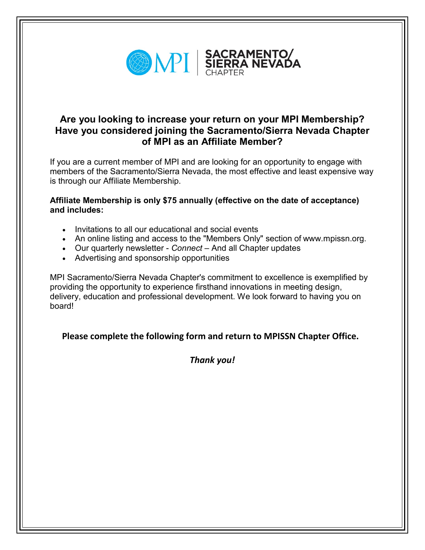

## **Are you looking to increase your return on your MPI Membership? Have you considered joining the Sacramento/Sierra Nevada Chapter of MPI as an Affiliate Member?**

If you are a current member of MPI and are looking for an opportunity to engage with members of the Sacramento/Sierra Nevada, the most effective and least expensive way is through our Affiliate Membership.

## **Affiliate Membership is only \$75 annually (effective on the date of acceptance) and includes:**

- Invitations to all our educational and social events
- An online listing and access to the "Members Only" section of [www.mpissn.org.](http://www.mpissn.org/)
- Our quarterly newsletter *Connect –* And all Chapter updates
- Advertising and sponsorship opportunities

MPI Sacramento/Sierra Nevada Chapter's commitment to excellence is exemplified by providing the opportunity to experience firsthand innovations in meeting design, delivery, education and professional development. We look forward to having you on board!

## **Please complete the following form and return to MPISSN Chapter Office.**

*Thank you!*